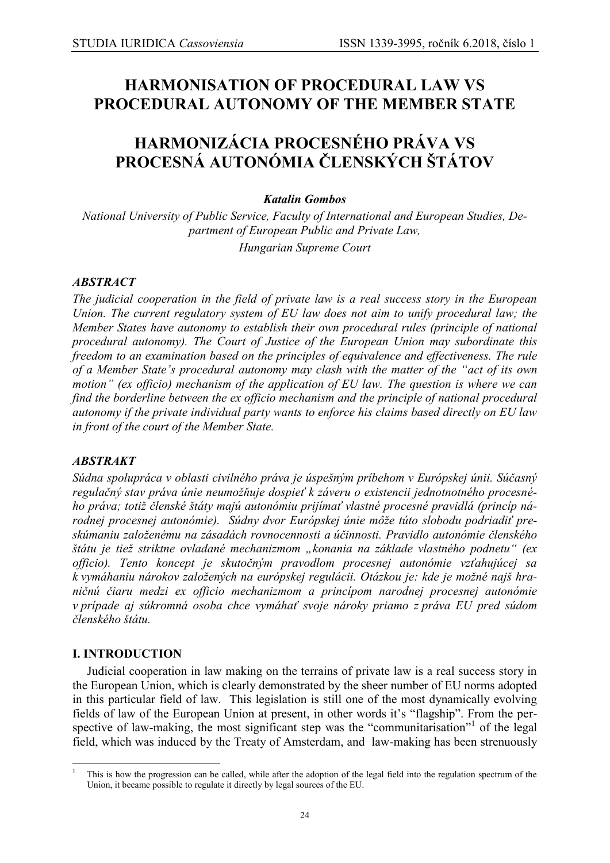# **HARMONISATION OF PROCEDURAL LAW VS PROCEDURAL AUTONOMY OF THE MEMBER STATE**

# **HARMONIZÁCIA PROCESNÉHO PRÁVA VS PROCESNÁ AUTONÓMIA ČLENSKÝCH ŠTÁTOV**

## *Katalin Gombos*

*National University of Public Service, Faculty of International and European Studies, Department of European Public and Private Law, Hungarian Supreme Court*

## *ABSTRACT*

*The judicial cooperation in the field of private law is a real success story in the European Union. The current regulatory system of EU law does not aim to unify procedural law; the Member States have autonomy to establish their own procedural rules (principle of national procedural autonomy). The Court of Justice of the European Union may subordinate this freedom to an examination based on the principles of equivalence and effectiveness. The rule of a Member State's procedural autonomy may clash with the matter of the "act of its own motion" (ex officio) mechanism of the application of EU law. The question is where we can find the borderline between the ex officio mechanism and the principle of national procedural autonomy if the private individual party wants to enforce his claims based directly on EU law in front of the court of the Member State.*

## *ABSTRAKT*

*Súdna spolupráca v oblasti civilného práva je úspešným príbehom v Európskej únii. Súčasný regulačný stav práva únie neumožňuje dospieť k záveru o existencii jednotnotného procesného práva; totiž členské štáty majú autonómiu prijímať vlastné procesné pravidlá (princíp národnej procesnej autonómie). Súdny dvor Európskej únie môže túto slobodu podriadiť preskúmaniu založenému na zásadách rovnocennosti a účinnosti. Pravidlo autonómie členského štátu je tiež striktne ovladané mechanizmom "konania na základe vlastného podnetu" (ex officio). Tento koncept je skutočným pravodlom procesnej autonómie vzťahujúcej sa k vymáhaniu nárokov založených na európskej regulácii. Otázkou je: kde je možné najš hraničnú čiaru medzi ex officio mechanizmom a princípom narodnej procesnej autonómie v prípade aj súkromná osoba chce vymáhať svoje nároky priamo z práva EU pred súdom členského štátu.*

#### **I. INTRODUCTION**

<u>.</u>

Judicial cooperation in law making on the terrains of private law is a real success story in the European Union, which is clearly demonstrated by the sheer number of EU norms adopted in this particular field of law. This legislation is still one of the most dynamically evolving fields of law of the European Union at present, in other words it's "flagship". From the perspective of law-making, the most significant step was the "communitarisation"<sup>1</sup> of the legal field, which was induced by the Treaty of Amsterdam, and law-making has been strenuously

<sup>1</sup> This is how the progression can be called, while after the adoption of the legal field into the regulation spectrum of the Union, it became possible to regulate it directly by legal sources of the EU.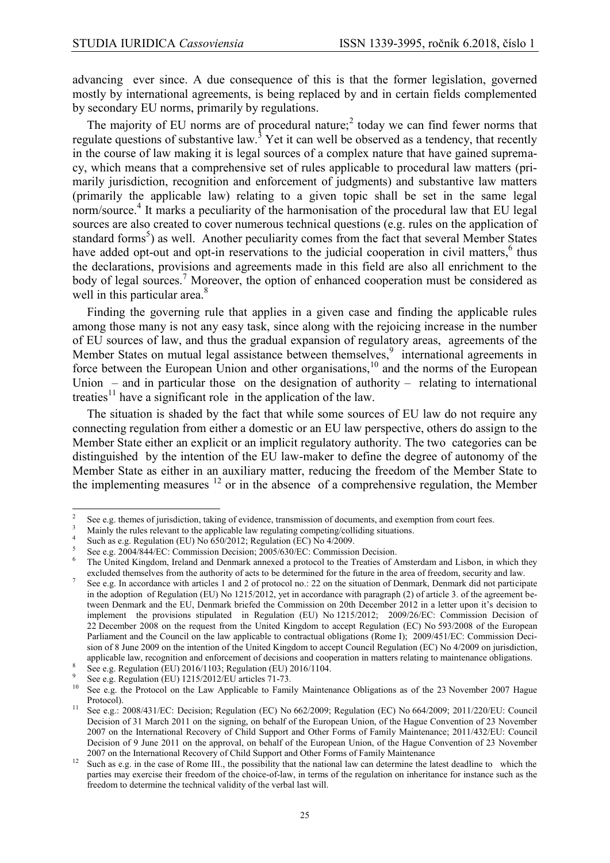advancing ever since. A due consequence of this is that the former legislation, governed mostly by international agreements, is being replaced by and in certain fields complemented by secondary EU norms, primarily by regulations.

The majority of EU norms are of procedural nature;<sup>2</sup> today we can find fewer norms that regulate questions of substantive law.<sup>3</sup> Yet it can well be observed as a tendency, that recently in the course of law making it is legal sources of a complex nature that have gained supremacy, which means that a comprehensive set of rules applicable to procedural law matters (primarily jurisdiction, recognition and enforcement of judgments) and substantive law matters (primarily the applicable law) relating to a given topic shall be set in the same legal norm/source.<sup>4</sup> It marks a peculiarity of the harmonisation of the procedural law that EU legal sources are also created to cover numerous technical questions (e.g. rules on the application of standard forms<sup>5</sup>) as well. Another peculiarity comes from the fact that several Member States have added opt-out and opt-in reservations to the judicial cooperation in civil matters, $6$  thus the declarations, provisions and agreements made in this field are also all enrichment to the body of legal sources.<sup>7</sup> Moreover, the option of enhanced cooperation must be considered as well in this particular area.<sup>8</sup>

Finding the governing rule that applies in a given case and finding the applicable rules among those many is not any easy task, since along with the rejoicing increase in the number of EU sources of law, and thus the gradual expansion of regulatory areas, agreements of the Member States on mutual legal assistance between themselves,<sup>9</sup> international agreements in force between the European Union and other organisations, $10^{\circ}$  and the norms of the European Union – and in particular those on the designation of authority – relating to international treaties<sup>11</sup> have a significant role in the application of the law.

The situation is shaded by the fact that while some sources of EU law do not require any connecting regulation from either a domestic or an EU law perspective, others do assign to the Member State either an explicit or an implicit regulatory authority. The two categories can be distinguished by the intention of the EU law-maker to define the degree of autonomy of the Member State as either in an auxiliary matter, reducing the freedom of the Member State to the implementing measures  $\frac{12}{12}$  or in the absence of a comprehensive regulation, the Member

 $\frac{1}{2}$ See e.g. themes of jurisdiction, taking of evidence, transmission of documents, and exemption from court fees.

<sup>&</sup>lt;sup>3</sup> Mainly the rules relevant to the applicable law regulating competing/colliding situations.

<sup>4</sup> Such as e.g. Regulation (EU) No 650/2012; Regulation (EC) No 4/2009.

<sup>5</sup> See e.g. 2004/844/EC: Commission Decision; 2005/630/EC: Commission Decision.

<sup>&</sup>lt;sup>6</sup> The United Kingdom, Ireland and Denmark annexed a protocol to the Treaties of Amsterdam and Lisbon, in which they excluded themselves from the authority of acts to be determined for the future in the area of freedom, security and law.

<sup>7</sup> See e.g. In accordance with articles 1 and 2 of protocol no.: 22 on the situation of Denmark, Denmark did not participate in the adoption of Regulation (EU) No 1215/2012, yet in accordance with paragraph (2) of article 3. of the agreement between Denmark and the EU, Denmark briefed the Commission on 20th December 2012 in a letter upon it's decision to implement the provisions stipulated in Regulation (EU) No 1215/2012; 2009/26/EC: Commission Decision of 22 December 2008 on the request from the United Kingdom to accept Regulation (EC) No 593/2008 of the European Parliament and the Council on the law applicable to contractual obligations (Rome I); 2009/451/EC: Commission Decision of 8 June 2009 on the intention of the United Kingdom to accept Council Regulation (EC) No 4/2009 on jurisdiction, applicable law, recognition and enforcement of decisions and cooperation in matters relating to maintenance obligations.

<sup>8</sup> See e.g. Regulation (EU) 2016/1103; Regulation (EU) 2016/1104.

 $\overline{9}$ See e.g. Regulation (EU) 1215/2012/EU articles 71-73.

<sup>&</sup>lt;sup>10</sup> See e.g. the Protocol on the Law Applicable to Family Maintenance Obligations as of the 23 November 2007 Hague Protocol).

<sup>&</sup>lt;sup>11</sup> See e.g.: 2008/431/EC: Decision; Regulation (EC) No 662/2009; Regulation (EC) No 664/2009; 2011/220/EU: Council Decision of 31 March 2011 on the signing, on behalf of the European Union, of the Hague Convention of 23 November 2007 on the International Recovery of Child Support and Other Forms of Family Maintenance; 2011/432/EU: Council Decision of 9 June 2011 on the approval, on behalf of the European Union, of the Hague Convention of 23 November 2007 on the International Recovery of Child Support and Other Forms of Family Maintenance

<sup>&</sup>lt;sup>12</sup> Such as e.g. in the case of Rome III., the possibility that the national law can determine the latest deadline to which the parties may exercise their freedom of the choice-of-law, in terms of the regulation on inheritance for instance such as the freedom to determine the technical validity of the verbal last will.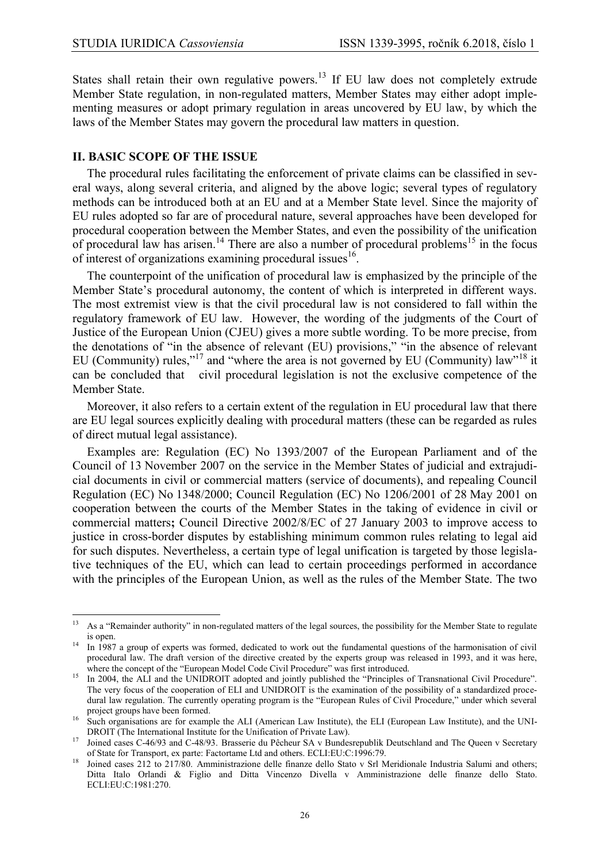States shall retain their own regulative powers.<sup>13</sup> If EU law does not completely extrude Member State regulation, in non-regulated matters, Member States may either adopt implementing measures or adopt primary regulation in areas uncovered by EU law, by which the laws of the Member States may govern the procedural law matters in question.

#### **II. BASIC SCOPE OF THE ISSUE**

The procedural rules facilitating the enforcement of private claims can be classified in several ways, along several criteria, and aligned by the above logic; several types of regulatory methods can be introduced both at an EU and at a Member State level. Since the majority of EU rules adopted so far are of procedural nature, several approaches have been developed for procedural cooperation between the Member States, and even the possibility of the unification of procedural law has arisen.<sup>14</sup> There are also a number of procedural problems<sup>15</sup> in the focus of interest of organizations examining procedural issues<sup>16</sup>.

The counterpoint of the unification of procedural law is emphasized by the principle of the Member State's procedural autonomy, the content of which is interpreted in different ways. The most extremist view is that the civil procedural law is not considered to fall within the regulatory framework of EU law. However, the wording of the judgments of the Court of Justice of the European Union (CJEU) gives a more subtle wording. To be more precise, from the denotations of "in the absence of relevant (EU) provisions," "in the absence of relevant EU (Community) rules,"<sup>17</sup> and "where the area is not governed by EU (Community) law"<sup>18</sup> it can be concluded that civil procedural legislation is not the exclusive competence of the Member State.

Moreover, it also refers to a certain extent of the regulation in EU procedural law that there are EU legal sources explicitly dealing with procedural matters (these can be regarded as rules of direct mutual legal assistance).

Examples are: Regulation (EC) No 1393/2007 of the European Parliament and of the Council of 13 November 2007 on the service in the Member States of judicial and extrajudicial documents in civil or commercial matters (service of documents), and repealing Council Regulation (EC) No 1348/2000; Council Regulation (EC) No 1206/2001 of 28 May 2001 on cooperation between the courts of the Member States in the taking of evidence in civil or commercial matters**;** Council Directive 2002/8/EC of 27 January 2003 to improve access to justice in cross-border disputes by establishing minimum common rules relating to legal aid for such disputes. Nevertheless, a certain type of legal unification is targeted by those legislative techniques of the EU, which can lead to certain proceedings performed in accordance with the principles of the European Union, as well as the rules of the Member State. The two

 $\overline{13}$ <sup>13</sup> As a "Remainder authority" in non-regulated matters of the legal sources, the possibility for the Member State to regulate is open.

<sup>14</sup> In 1987 a group of experts was formed, dedicated to work out the fundamental questions of the harmonisation of civil procedural law. The draft version of the directive created by the experts group was released in 1993, and it was here, where the concept of the "European Model Code Civil Procedure" was first introduced.

<sup>&</sup>lt;sup>15</sup> In 2004, the ALI and the UNIDROIT adopted and jointly published the "Principles of Transnational Civil Procedure". The very focus of the cooperation of ELI and UNIDROIT is the examination of the possibility of a standardized procedural law regulation. The currently operating program is the "European Rules of Civil Procedure," under which several project groups have been formed.

<sup>&</sup>lt;sup>16</sup> Such organisations are for example the ALI (American Law Institute), the ELI (European Law Institute), and the UNI-DROIT (The International Institute for the Unification of Private Law).

<sup>17</sup> Joined cases C-46/93 and C-48/93. Brasserie du Pêcheur SA v Bundesrepublik Deutschland and The Queen v Secretary of State for Transport, ex parte: Factortame Ltd and others. ECLI:EU:C:1996:79.

<sup>&</sup>lt;sup>18</sup> Joined cases 212 to 217/80. Amministrazione delle finanze dello Stato v Srl Meridionale Industria Salumi and others; Ditta Italo Orlandi & Figlio and Ditta Vincenzo Divella v Amministrazione delle finanze dello Stato. ECLI:EU:C:1981:270.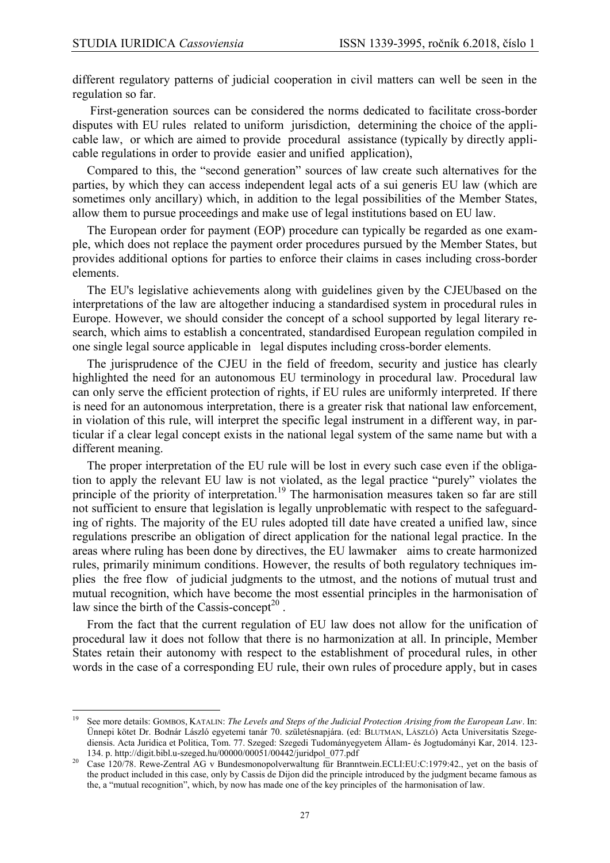1

different regulatory patterns of judicial cooperation in civil matters can well be seen in the regulation so far.

First-generation sources can be considered the norms dedicated to facilitate cross-border disputes with EU rules related to uniform jurisdiction, determining the choice of the applicable law, or which are aimed to provide procedural assistance (typically by directly applicable regulations in order to provide easier and unified application),

Compared to this, the "second generation" sources of law create such alternatives for the parties, by which they can access independent legal acts of a sui generis EU law (which are sometimes only ancillary) which, in addition to the legal possibilities of the Member States, allow them to pursue proceedings and make use of legal institutions based on EU law.

The European order for payment (EOP) procedure can typically be regarded as one example, which does not replace the payment order procedures pursued by the Member States, but provides additional options for parties to enforce their claims in cases including cross-border elements.

The EU's legislative achievements along with guidelines given by the CJEUbased on the interpretations of the law are altogether inducing a standardised system in procedural rules in Europe. However, we should consider the concept of a school supported by legal literary research, which aims to establish a concentrated, standardised European regulation compiled in one single legal source applicable in legal disputes including cross-border elements.

The jurisprudence of the CJEU in the field of freedom, security and justice has clearly highlighted the need for an autonomous EU terminology in procedural law. Procedural law can only serve the efficient protection of rights, if EU rules are uniformly interpreted. If there is need for an autonomous interpretation, there is a greater risk that national law enforcement, in violation of this rule, will interpret the specific legal instrument in a different way, in particular if a clear legal concept exists in the national legal system of the same name but with a different meaning.

The proper interpretation of the EU rule will be lost in every such case even if the obligation to apply the relevant EU law is not violated, as the legal practice "purely" violates the principle of the priority of interpretation.<sup>19</sup> The harmonisation measures taken so far are still not sufficient to ensure that legislation is legally unproblematic with respect to the safeguarding of rights. The majority of the EU rules adopted till date have created a unified law, since regulations prescribe an obligation of direct application for the national legal practice. In the areas where ruling has been done by directives, the EU lawmaker aims to create harmonized rules, primarily minimum conditions. However, the results of both regulatory techniques implies the free flow of judicial judgments to the utmost, and the notions of mutual trust and mutual recognition, which have become the most essential principles in the harmonisation of law since the birth of the Cassis-concept<sup>20</sup>.

From the fact that the current regulation of EU law does not allow for the unification of procedural law it does not follow that there is no harmonization at all. In principle, Member States retain their autonomy with respect to the establishment of procedural rules, in other words in the case of a corresponding EU rule, their own rules of procedure apply, but in cases

<sup>19</sup> See more details: GOMBOS, KATALIN: *The Levels and Steps of the Judicial Protection Arising from the European Law*. In: Ünnepi kötet Dr. Bodnár László egyetemi tanár 70. születésnapjára. (ed: BLUTMAN, LÁSZLÓ) Acta Universitatis Szegediensis. Acta Juridica et Politica, Tom. 77. Szeged: Szegedi Tudományegyetem Állam- és Jogtudományi Kar, 2014. 123- 134. p. [http://digit.bibl.u-szeged.hu/00000/00051/00442/juridpol\\_077.pdf](http://digit.bibl.u-szeged.hu/00000/00051/00442/juridpol_077.pdf)

<sup>&</sup>lt;sup>20</sup> Case 120/78. Rewe-Zentral AG v Bundesmonopolverwaltung für Branntwein.ECLI:EU:C:1979:42., yet on the basis of the product included in this case, only by Cassis de Dijon did the principle introduced by the judgment became famous as the, a "mutual recognition", which, by now has made one of the key principles of the harmonisation of law.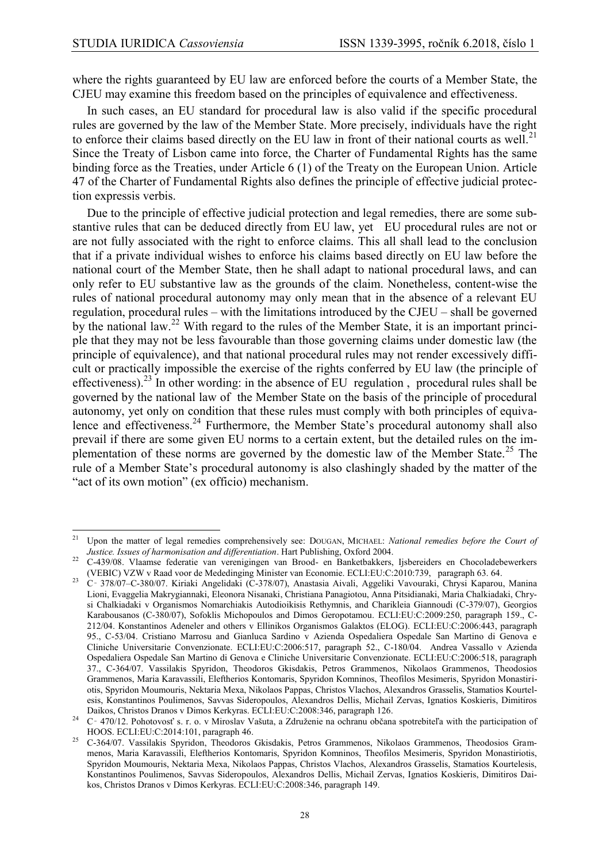1

where the rights guaranteed by EU law are enforced before the courts of a Member State, the CJEU may examine this freedom based on the principles of equivalence and effectiveness.

In such cases, an EU standard for procedural law is also valid if the specific procedural rules are governed by the law of the Member State. More precisely, individuals have the right to enforce their claims based directly on the EU law in front of their national courts as well.<sup>21</sup> Since the Treaty of Lisbon came into force, the Charter of Fundamental Rights has the same binding force as the Treaties, under Article 6 (1) of the Treaty on the European Union. Article 47 of the Charter of Fundamental Rights also defines the principle of effective judicial protection expressis verbis.

Due to the principle of effective judicial protection and legal remedies, there are some substantive rules that can be deduced directly from EU law, yet EU procedural rules are not or are not fully associated with the right to enforce claims. This all shall lead to the conclusion that if a private individual wishes to enforce his claims based directly on EU law before the national court of the Member State, then he shall adapt to national procedural laws, and can only refer to EU substantive law as the grounds of the claim. Nonetheless, content-wise the rules of national procedural autonomy may only mean that in the absence of a relevant EU regulation, procedural rules – with the limitations introduced by the CJEU – shall be governed by the national law.<sup>22</sup> With regard to the rules of the Member State, it is an important principle that they may not be less favourable than those governing claims under domestic law (the principle of equivalence), and that national procedural rules may not render excessively difficult or practically impossible the exercise of the rights conferred by EU law (the principle of effectiveness).<sup>23</sup> In other wording: in the absence of EU regulation, procedural rules shall be governed by the national law of the Member State on the basis of the principle of procedural autonomy, yet only on condition that these rules must comply with both principles of equivalence and effectiveness.<sup>24</sup> Furthermore, the Member State's procedural autonomy shall also prevail if there are some given EU norms to a certain extent, but the detailed rules on the implementation of these norms are governed by the domestic law of the Member State.<sup>25</sup> The rule of a Member State's procedural autonomy is also clashingly shaded by the matter of the "act of its own motion" (ex officio) mechanism.

<sup>21</sup> Upon the matter of legal remedies comprehensively see: DOUGAN, MICHAEL: *National remedies before the Court of Justice. Issues of harmonisation and differentiation*. Hart Publishing, Oxford 2004.

<sup>22</sup> C-439/08. Vlaamse federatie van verenigingen van Brood- en Banketbakkers, Ijsbereiders en Chocoladebewerkers (VEBIC) VZW v Raad voor de Mededinging Minister van Economie. ECLI:EU:C:2010:739, paragraph 63. 64.

<sup>23</sup> C‑ 378/07–C-380/07. Kiriaki Angelidaki (C-378/07), Anastasia Aivali, Aggeliki Vavouraki, Chrysi Kaparou, Manina Lioni, Evaggelia Makrygiannaki, Eleonora Nisanaki, Christiana Panagiotou, Anna Pitsidianaki, Maria Chalkiadaki, Chrysi Chalkiadaki v Organismos Nomarchiakis Autodioikisis Rethymnis, and Charikleia Giannoudi (C-379/07), Georgios Karabousanos (C-380/07), Sofoklis Michopoulos and Dimos Geropotamou. ECLI:EU:C:2009:250, paragraph 159., C-212/04. Konstantinos Adeneler and others v Ellinikos Organismos Galaktos (ELOG). ECLI:EU:C:2006:443, paragraph 95., C-53/04. Cristiano Marrosu and Gianluca Sardino v Azienda Ospedaliera Ospedale San Martino di Genova e Cliniche Universitarie Convenzionate. ECLI:EU:C:2006:517, paragraph 52., C-180/04. Andrea Vassallo v Azienda Ospedaliera Ospedale San Martino di Genova e Cliniche Universitarie Convenzionate. ECLI:EU:C:2006:518, paragraph 37., C-364/07. Vassilakis Spyridon, Theodoros Gkisdakis, Petros Grammenos, Nikolaos Grammenos, Theodosios Grammenos, Maria Karavassili, Eleftherios Kontomaris, Spyridon Komninos, Theofilos Mesimeris, Spyridon Monastiriotis, Spyridon Moumouris, Nektaria Mexa, Nikolaos Pappas, Christos Vlachos, Alexandros Grasselis, Stamatios Kourtelesis, Konstantinos Poulimenos, Savvas Sideropoulos, Alexandros Dellis, Michail Zervas, Ignatios Koskieris, Dimitiros Daikos, Christos Dranos v Dimos Kerkyras. ECLI:EU:C:2008:346, paragraph 126.

<sup>&</sup>lt;sup>24</sup> C - 470/12. Pohotovosť s. r. o. v Miroslav Vašuta, a Združenie na ochranu občana spotrebiteľa with the participation of HOOS. ECLI:EU:C:2014:101, paragraph 46.

<sup>25</sup> C-364/07. Vassilakis Spyridon, Theodoros Gkisdakis, Petros Grammenos, Nikolaos Grammenos, Theodosios Grammenos, Maria Karavassili, Eleftherios Kontomaris, Spyridon Komninos, Theofilos Mesimeris, Spyridon Monastiriotis, Spyridon Moumouris, Nektaria Mexa, Nikolaos Pappas, Christos Vlachos, Alexandros Grasselis, Stamatios Kourtelesis, Konstantinos Poulimenos, Savvas Sideropoulos, Alexandros Dellis, Michail Zervas, Ignatios Koskieris, Dimitiros Daikos, Christos Dranos v Dimos Kerkyras. ECLI:EU:C:2008:346, paragraph 149.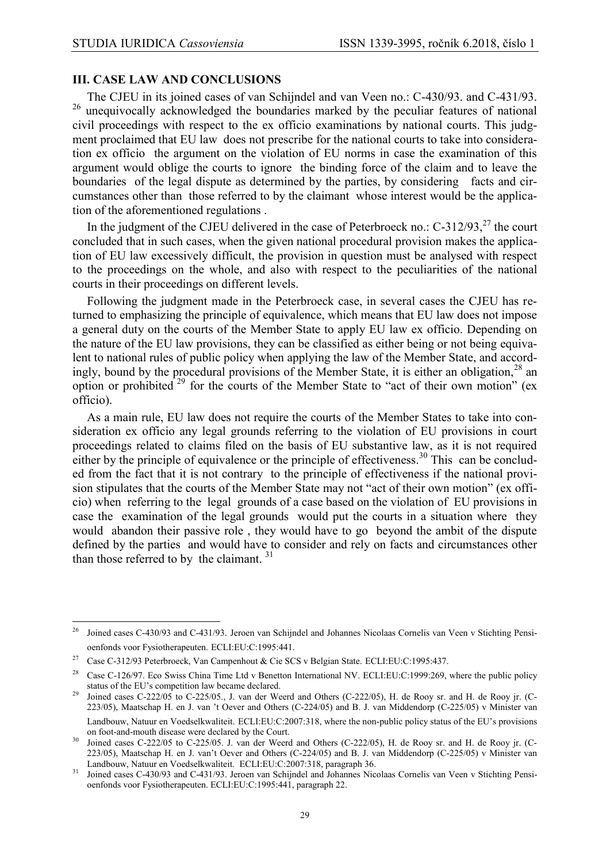#### **III. CASE LAW AND CONCLUSIONS**

The CJEU in its joined cases of van Schijndel and van Veen no.: C-430/93. and C-431/93. <sup>26</sup> unequivocally acknowledged the boundaries marked by the peculiar features of national civil proceedings with respect to the ex officio examinations by national courts. This judgment proclaimed that EU law does not prescribe for the national courts to take into consideration ex officio the argument on the violation of EU norms in case the examination of this argument would oblige the courts to ignore the binding force of the claim and to leave the boundaries of the legal dispute as determined by the parties, by considering facts and circumstances other than those referred to by the claimant whose interest would be the application of the aforementioned regulations .

In the judgment of the CJEU delivered in the case of Peterbroeck no.:  $C-312/93$ ,<sup>27</sup> the court concluded that in such cases, when the given national procedural provision makes the application of EU law excessively difficult, the provision in question must be analysed with respect to the proceedings on the whole, and also with respect to the peculiarities of the national courts in their proceedings on different levels.

Following the judgment made in the Peterbroeck case, in several cases the CJEU has returned to emphasizing the principle of equivalence, which means that EU law does not impose a general duty on the courts of the Member State to apply EU law ex officio. Depending on the nature of the EU law provisions, they can be classified as either being or not being equivalent to national rules of public policy when applying the law of the Member State, and accordingly, bound by the procedural provisions of the Member State, it is either an obligation,  $28$  an option or prohibited <sup>29</sup> for the courts of the Member State to "act of their own motion" (ex officio).

As a main rule, EU law does not require the courts of the Member States to take into consideration ex officio any legal grounds referring to the violation of EU provisions in court proceedings related to claims filed on the basis of EU substantive law, as it is not required either by the principle of equivalence or the principle of effectiveness.<sup>30</sup> This can be concluded from the fact that it is not contrary to the principle of effectiveness if the national provision stipulates that the courts of the Member State may not "act of their own motion" (ex officio) when referring to the legal grounds of a case based on the violation of EU provisions in case the examination of the legal grounds would put the courts in a situation where they would abandon their passive role , they would have to go beyond the ambit of the dispute defined by the parties and would have to consider and rely on facts and circumstances other than those referred to by the claimant.  $31$ 

<sup>26</sup> Joined cases C-430/93 and C-431/93. Jeroen van Schijndel and Johannes Nicolaas Cornelis van Veen v Stichting Pensioenfonds voor Fysiotherapeuten. ECLI:EU:C:1995:441.

<sup>27</sup> Case C-312/93 Peterbroeck, Van Campenhout & Cie SCS v Belgian State. ECLI:EU:C:1995:437.

<sup>&</sup>lt;sup>28</sup> Case C-126/97. Eco Swiss China Time Ltd v Benetton International NV. ECLI:EU:C:1999:269, where the public policy status of the EU's competition law became declared.

<sup>29</sup> Joined cases C-222/05 to C-225/05., J. van der Weerd and Others (C-222/05), H. de Rooy sr. and H. de Rooy jr. (C-223/05), Maatschap H. en J. van 't Oever and Others (C-224/05) and B. J. van Middendorp (C-225/05) v Minister van Landbouw, Natuur en Voedselkwaliteit. ECLI:EU:C:2007:318, where the non-public policy status of the EU's provisions on foot-and-mouth disease were declared by the Court.

<sup>30</sup> Joined cases C-222/05 to C-225/05. J. van der Weerd and Others (C-222/05), H. de Rooy sr. and H. de Rooy jr. (C-223/05), Maatschap H. en J. van't Oever and Others (C-224/05) and B. J. van Middendorp (C-225/05) v Minister van Landbouw, Natuur en Voedselkwaliteit. ECLI:EU:C:2007:318, paragraph 36.

<sup>31</sup> Joined cases C-430/93 and C-431/93. Jeroen van Schijndel and Johannes Nicolaas Cornelis van Veen v Stichting Pensioenfonds voor Fysiotherapeuten. ECLI:EU:C:1995:441, paragraph 22.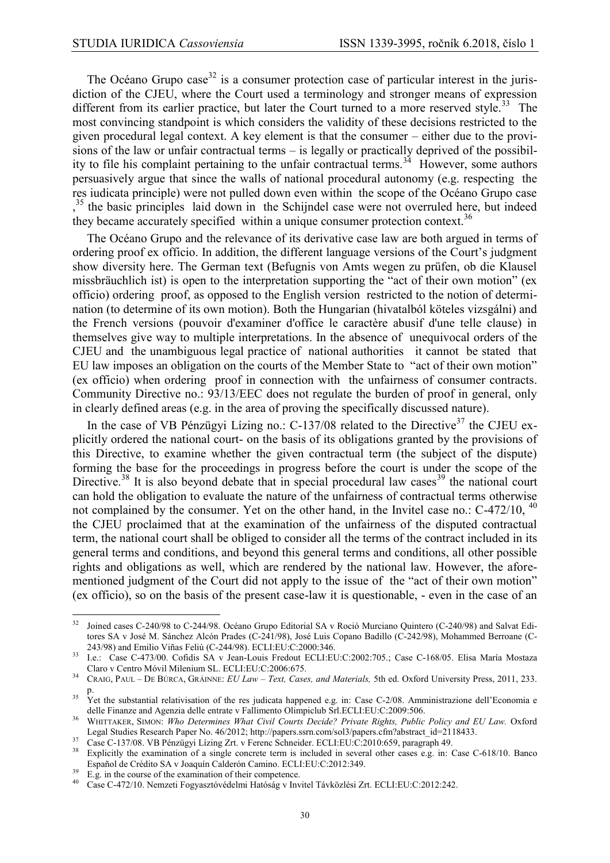The Océano Grupo case<sup>32</sup> is a consumer protection case of particular interest in the jurisdiction of the CJEU, where the Court used a terminology and stronger means of expression different from its earlier practice, but later the Court turned to a more reserved style.<sup>33</sup> The most convincing standpoint is which considers the validity of these decisions restricted to the given procedural legal context. A key element is that the consumer – either due to the provisions of the law or unfair contractual terms – is legally or practically deprived of the possibility to file his complaint pertaining to the unfair contractual terms.<sup>34</sup> However, some authors persuasively argue that since the walls of national procedural autonomy (e.g. respecting the res iudicata principle) were not pulled down even within the scope of the Océano Grupo case <sup>35</sup> the basic principles laid down in the Schijndel case were not overruled here, but indeed they became accurately specified within a unique consumer protection context.<sup>36</sup>

The Océano Grupo and the relevance of its derivative case law are both argued in terms of ordering proof ex officio. In addition, the different language versions of the Court's judgment show diversity here. The German text (Befugnis von Amts wegen zu prüfen, ob die Klausel missbräuchlich ist) is open to the interpretation supporting the "act of their own motion" (ex officio) ordering proof, as opposed to the English version restricted to the notion of determination (to determine of its own motion). Both the Hungarian (hivatalból köteles vizsgálni) and the French versions (pouvoir d'examiner d'office le caractère abusif d'une telle clause) in themselves give way to multiple interpretations. In the absence of unequivocal orders of the CJEU and the unambiguous legal practice of national authorities it cannot be stated that EU law imposes an obligation on the courts of the Member State to "act of their own motion" (ex officio) when ordering proof in connection with the unfairness of consumer contracts. Community Directive no.: 93/13/EEC does not regulate the burden of proof in general, only in clearly defined areas (e.g. in the area of proving the specifically discussed nature).

In the case of VB Pénzügyi Lízing no.: C-137/08 related to the Directive<sup>37</sup> the CJEU explicitly ordered the national court- on the basis of its obligations granted by the provisions of this Directive, to examine whether the given contractual term (the subject of the dispute) forming the base for the proceedings in progress before the court is under the scope of the Directive.<sup>38</sup> It is also beyond debate that in special procedural law cases<sup>39</sup> the national court can hold the obligation to evaluate the nature of the unfairness of contractual terms otherwise not complained by the consumer. Yet on the other hand, in the Invitel case no.: C-472/10, <sup>40</sup> the CJEU proclaimed that at the examination of the unfairness of the disputed contractual term, the national court shall be obliged to consider all the terms of the contract included in its general terms and conditions, and beyond this general terms and conditions, all other possible rights and obligations as well, which are rendered by the national law. However, the aforementioned judgment of the Court did not apply to the issue of the "act of their own motion" (ex officio), so on the basis of the present case-law it is questionable, - even in the case of an

 $32$ <sup>32</sup> Joined cases C-240/98 to C-244/98. Océano Grupo Editorial SA v Roció Murciano Quintero (C-240/98) and Salvat Editores SA v José M. Sánchez Alcón Prades (C-241/98), José Luis Copano Badillo (C-242/98), Mohammed Berroane (C-243/98) and Emilio Viñas Feliú (C-244/98). ECLI:EU:C:2000:346.

<sup>33</sup> I.e.: Case C-473/00. Cofidis SA v Jean-Louis Fredout ECLI:EU:C:2002:705.; Case C-168/05. Elisa María Mostaza Claro v Centro Móvil Milenium SL. ECLI:EU:C:2006:675.

<sup>34</sup> CRAIG, PAUL – DE BÚRCA, GRÁINNE: *EU Law – Text, Cases, and Materials,* 5th ed. Oxford University Press, 2011, 233. p.

<sup>&</sup>lt;sup>35</sup> Yet the substantial relativisation of the res judicata happened e.g. in: Case C-2/08. Amministrazione dell'Economia e delle Finanze and Agenzia delle entrate v Fallimento Olimpiclub Srl.ECLI:EU:C:2009:506.

<sup>36</sup> WHITTAKER, SIMON: *Who Determines What Civil Courts Decide? Private Rights, Public Policy and EU Law.* Oxford Legal Studies Research Paper No. 46/2012; [http://papers.ssrn.com/sol3/papers.cfm?abstract\\_id=2118433.](http://papers.ssrn.com/sol3/papers.cfm?abstract_id=2118433) 

<sup>37</sup> Case C-137/08. VB Pénzügyi Lízing Zrt. v Ferenc Schneider. ECLI:EU:C:2010:659, paragraph 49.

Explicitly the examination of a single concrete term is included in several other cases e.g. in: Case C-618/10. Banco Español de Crédito SA v Joaquín Calderón Camino. ECLI:EU:C:2012:349.

 $\frac{39}{2}$  E.g. in the course of the examination of their competence.

<sup>40</sup> Case C-472/10. Nemzeti Fogyasztóvédelmi Hatóság v Invitel Távközlési Zrt. ECLI:EU:C:2012:242.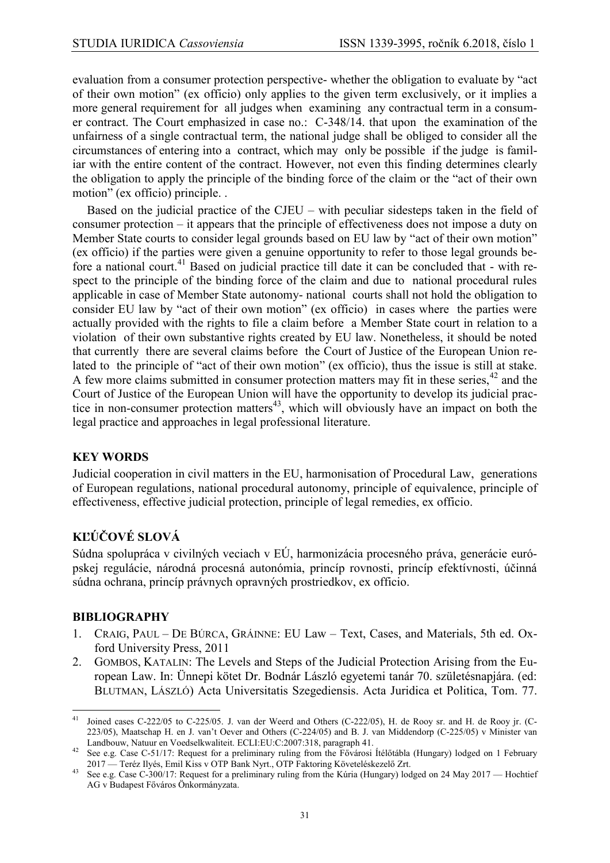evaluation from a consumer protection perspective- whether the obligation to evaluate by "act of their own motion" (ex officio) only applies to the given term exclusively, or it implies a more general requirement for all judges when examining any contractual term in a consumer contract. The Court emphasized in case no.: C-348/14. that upon the examination of the unfairness of a single contractual term, the national judge shall be obliged to consider all the circumstances of entering into a contract, which may only be possible if the judge is familiar with the entire content of the contract. However, not even this finding determines clearly the obligation to apply the principle of the binding force of the claim or the "act of their own motion" (ex officio) principle. .

Based on the judicial practice of the CJEU – with peculiar sidesteps taken in the field of consumer protection – it appears that the principle of effectiveness does not impose a duty on Member State courts to consider legal grounds based on EU law by "act of their own motion" (ex officio) if the parties were given a genuine opportunity to refer to those legal grounds before a national court.<sup>41</sup> Based on judicial practice till date it can be concluded that - with respect to the principle of the binding force of the claim and due to national procedural rules applicable in case of Member State autonomy- national courts shall not hold the obligation to consider EU law by "act of their own motion" (ex officio) in cases where the parties were actually provided with the rights to file a claim before a Member State court in relation to a violation of their own substantive rights created by EU law. Nonetheless, it should be noted that currently there are several claims before the Court of Justice of the European Union related to the principle of "act of their own motion" (ex officio), thus the issue is still at stake. A few more claims submitted in consumer protection matters may fit in these series,  $42$  and the Court of Justice of the European Union will have the opportunity to develop its judicial practice in non-consumer protection matters<sup>43</sup>, which will obviously have an impact on both the legal practice and approaches in legal professional literature.

## **KEY WORDS**

Judicial cooperation in civil matters in the EU, harmonisation of Procedural Law, generations of European regulations, national procedural autonomy, principle of equivalence, principle of effectiveness, effective judicial protection, principle of legal remedies, ex officio.

# **KĽÚČOVÉ SLOVÁ**

Súdna spolupráca v civilných veciach v EÚ, harmonizácia procesného práva, generácie európskej regulácie, národná procesná autonómia, princíp rovnosti, princíp efektívnosti, účinná súdna ochrana, princíp právnych opravných prostriedkov, ex officio.

## **BIBLIOGRAPHY**

- 1. CRAIG, PAUL DE BÚRCA, GRÁINNE: EU Law Text, Cases, and Materials, 5th ed. Oxford University Press, 2011
- 2. GOMBOS, KATALIN: The Levels and Steps of the Judicial Protection Arising from the European Law. In: Ünnepi kötet Dr. Bodnár László egyetemi tanár 70. születésnapjára. (ed: BLUTMAN, LÁSZLÓ) Acta Universitatis Szegediensis. Acta Juridica et Politica, Tom. 77.

 $41\,$ Joined cases C-222/05 to C-225/05. J. van der Weerd and Others (C-222/05), H. de Rooy sr. and H. de Rooy jr. (C-223/05), Maatschap H. en J. van't Oever and Others (C-224/05) and B. J. van Middendorp (C-225/05) v Minister van Landbouw, Natuur en Voedselkwaliteit. ECLI:EU:C:2007:318, paragraph 41.

<sup>42</sup> See e.g. Case C-51/17: Request for a preliminary ruling from the Fővárosi Ítélőtábla (Hungary) lodged on 1 February 2017 — Teréz Ilyés, Emil Kiss v OTP Bank Nyrt., OTP Faktoring Követeléskezelő Zrt.

<sup>43</sup> See e.g. Case C-300/17: Request for a preliminary ruling from the Kúria (Hungary) lodged on 24 May 2017 — Hochtief AG v Budapest Főváros Önkormányzata.